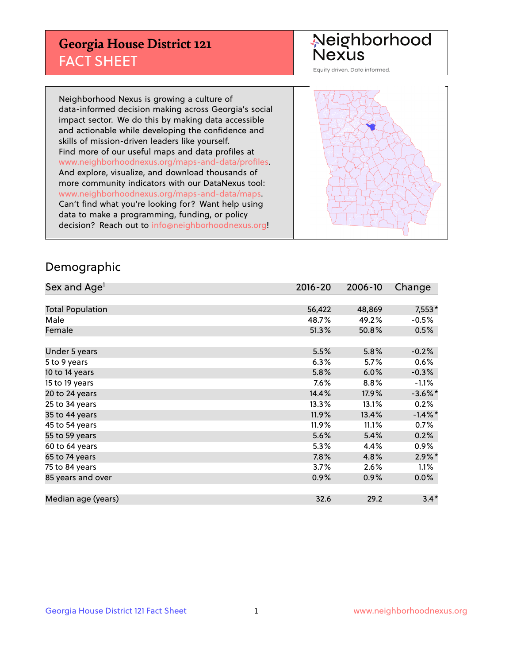## **Georgia House District 121** FACT SHEET

Neighborhood<br>Nexus

Equity driven. Data informed.

Neighborhood Nexus is growing a culture of data-informed decision making across Georgia's social impact sector. We do this by making data accessible and actionable while developing the confidence and skills of mission-driven leaders like yourself. Find more of our useful maps and data profiles at www.neighborhoodnexus.org/maps-and-data/profiles. And explore, visualize, and download thousands of more community indicators with our DataNexus tool: www.neighborhoodnexus.org/maps-and-data/maps. Can't find what you're looking for? Want help using data to make a programming, funding, or policy decision? Reach out to [info@neighborhoodnexus.org!](mailto:info@neighborhoodnexus.org)



#### Demographic

| Sex and Age <sup>1</sup> | $2016 - 20$ | 2006-10 | Change     |
|--------------------------|-------------|---------|------------|
|                          |             |         |            |
| <b>Total Population</b>  | 56,422      | 48,869  | $7,553*$   |
| Male                     | 48.7%       | 49.2%   | $-0.5%$    |
| Female                   | 51.3%       | 50.8%   | 0.5%       |
|                          |             |         |            |
| Under 5 years            | 5.5%        | 5.8%    | $-0.2%$    |
| 5 to 9 years             | 6.3%        | $5.7\%$ | 0.6%       |
| 10 to 14 years           | 5.8%        | 6.0%    | $-0.3%$    |
| 15 to 19 years           | 7.6%        | 8.8%    | $-1.1%$    |
| 20 to 24 years           | 14.4%       | 17.9%   | $-3.6\%$ * |
| 25 to 34 years           | 13.3%       | 13.1%   | 0.2%       |
| 35 to 44 years           | 11.9%       | 13.4%   | $-1.4\%$ * |
| 45 to 54 years           | 11.9%       | 11.1%   | 0.7%       |
| 55 to 59 years           | 5.6%        | 5.4%    | 0.2%       |
| 60 to 64 years           | 5.3%        | 4.4%    | $0.9\%$    |
| 65 to 74 years           | 7.8%        | 4.8%    | $2.9\%$ *  |
| 75 to 84 years           | 3.7%        | 2.6%    | 1.1%       |
| 85 years and over        | 0.9%        | 0.9%    | $0.0\%$    |
|                          |             |         |            |
| Median age (years)       | 32.6        | 29.2    | $3.4*$     |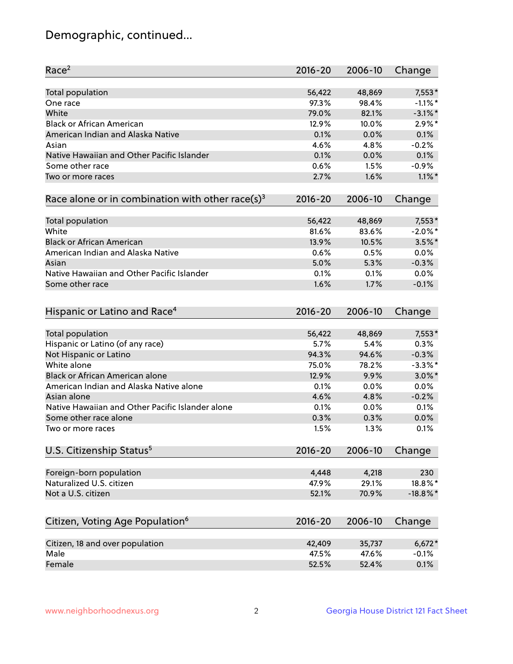# Demographic, continued...

| Race <sup>2</sup>                                            | $2016 - 20$ | 2006-10 | Change      |
|--------------------------------------------------------------|-------------|---------|-------------|
| <b>Total population</b>                                      | 56,422      | 48,869  | $7,553*$    |
| One race                                                     | 97.3%       | 98.4%   | $-1.1\%$ *  |
| White                                                        | 79.0%       | 82.1%   | $-3.1\%$ *  |
| <b>Black or African American</b>                             | 12.9%       | 10.0%   | $2.9\%$ *   |
| American Indian and Alaska Native                            | 0.1%        | 0.0%    | 0.1%        |
| Asian                                                        | 4.6%        | 4.8%    | $-0.2%$     |
| Native Hawaiian and Other Pacific Islander                   | 0.1%        | 0.0%    | 0.1%        |
| Some other race                                              | 0.6%        | 1.5%    | $-0.9%$     |
| Two or more races                                            | 2.7%        | 1.6%    | $1.1\%$ *   |
| Race alone or in combination with other race(s) <sup>3</sup> | $2016 - 20$ | 2006-10 | Change      |
|                                                              |             |         |             |
| Total population                                             | 56,422      | 48,869  | $7,553*$    |
| White                                                        | 81.6%       | 83.6%   | $-2.0\%$ *  |
| <b>Black or African American</b>                             | 13.9%       | 10.5%   | $3.5\%$ *   |
| American Indian and Alaska Native                            | 0.6%        | 0.5%    | 0.0%        |
| Asian                                                        | 5.0%        | 5.3%    | $-0.3%$     |
| Native Hawaiian and Other Pacific Islander                   | 0.1%        | 0.1%    | 0.0%        |
| Some other race                                              | 1.6%        | 1.7%    | $-0.1%$     |
| Hispanic or Latino and Race <sup>4</sup>                     | $2016 - 20$ | 2006-10 | Change      |
| <b>Total population</b>                                      | 56,422      | 48,869  | $7,553*$    |
| Hispanic or Latino (of any race)                             | 5.7%        | 5.4%    | 0.3%        |
| Not Hispanic or Latino                                       | 94.3%       | 94.6%   | $-0.3%$     |
| White alone                                                  | 75.0%       | 78.2%   | $-3.3\%$ *  |
| Black or African American alone                              | 12.9%       | 9.9%    | $3.0\%$ *   |
| American Indian and Alaska Native alone                      | 0.1%        | 0.0%    | 0.0%        |
| Asian alone                                                  | 4.6%        | 4.8%    | $-0.2%$     |
| Native Hawaiian and Other Pacific Islander alone             | 0.1%        | 0.0%    | 0.1%        |
| Some other race alone                                        | 0.3%        | 0.3%    | 0.0%        |
| Two or more races                                            | 1.5%        | 1.3%    | 0.1%        |
|                                                              |             |         |             |
| U.S. Citizenship Status <sup>5</sup>                         | $2016 - 20$ | 2006-10 | Change      |
| Foreign-born population                                      | 4,448       | 4,218   | 230         |
| Naturalized U.S. citizen                                     | 47.9%       | 29.1%   | 18.8%*      |
| Not a U.S. citizen                                           | 52.1%       | 70.9%   | $-18.8\%$ * |
| Citizen, Voting Age Population <sup>6</sup>                  | 2016-20     | 2006-10 | Change      |
|                                                              |             |         |             |
| Citizen, 18 and over population                              | 42,409      | 35,737  | $6,672*$    |
| Male                                                         | 47.5%       | 47.6%   | $-0.1%$     |
| Female                                                       | 52.5%       | 52.4%   | 0.1%        |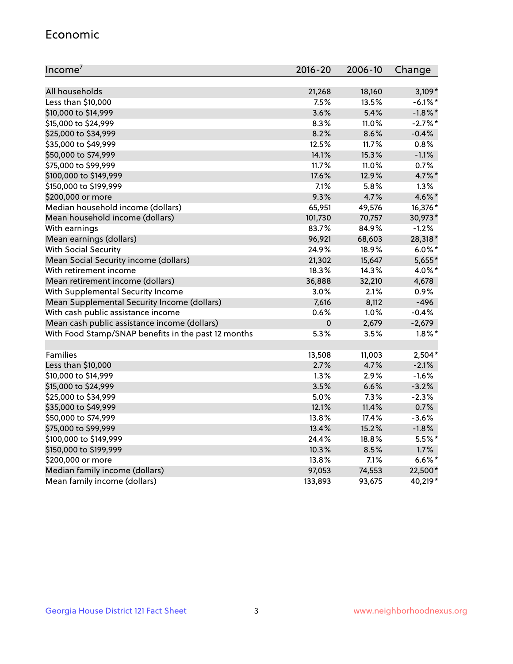#### Economic

| Income <sup>7</sup>                                 | $2016 - 20$ | 2006-10 | Change     |
|-----------------------------------------------------|-------------|---------|------------|
|                                                     |             |         |            |
| All households                                      | 21,268      | 18,160  | $3,109*$   |
| Less than \$10,000                                  | 7.5%        | 13.5%   | $-6.1\%$ * |
| \$10,000 to \$14,999                                | 3.6%        | 5.4%    | $-1.8\%$ * |
| \$15,000 to \$24,999                                | 8.3%        | 11.0%   | $-2.7%$ *  |
| \$25,000 to \$34,999                                | 8.2%        | 8.6%    | $-0.4%$    |
| \$35,000 to \$49,999                                | 12.5%       | 11.7%   | 0.8%       |
| \$50,000 to \$74,999                                | 14.1%       | 15.3%   | $-1.1%$    |
| \$75,000 to \$99,999                                | 11.7%       | 11.0%   | 0.7%       |
| \$100,000 to \$149,999                              | 17.6%       | 12.9%   | 4.7%*      |
| \$150,000 to \$199,999                              | 7.1%        | 5.8%    | 1.3%       |
| \$200,000 or more                                   | 9.3%        | 4.7%    | $4.6\%$ *  |
| Median household income (dollars)                   | 65,951      | 49,576  | 16,376*    |
| Mean household income (dollars)                     | 101,730     | 70,757  | 30,973*    |
| With earnings                                       | 83.7%       | 84.9%   | $-1.2%$    |
| Mean earnings (dollars)                             | 96,921      | 68,603  | 28,318*    |
| <b>With Social Security</b>                         | 24.9%       | 18.9%   | $6.0\%$ *  |
| Mean Social Security income (dollars)               | 21,302      | 15,647  | 5,655*     |
| With retirement income                              | 18.3%       | 14.3%   | 4.0%*      |
| Mean retirement income (dollars)                    | 36,888      | 32,210  | 4,678      |
| With Supplemental Security Income                   | 3.0%        | 2.1%    | 0.9%       |
| Mean Supplemental Security Income (dollars)         | 7,616       | 8,112   | $-496$     |
| With cash public assistance income                  | 0.6%        | 1.0%    | $-0.4%$    |
| Mean cash public assistance income (dollars)        | $\mathbf 0$ | 2,679   | $-2,679$   |
| With Food Stamp/SNAP benefits in the past 12 months | 5.3%        | 3.5%    | $1.8\%$ *  |
|                                                     |             |         |            |
| Families                                            | 13,508      | 11,003  | $2,504*$   |
| Less than \$10,000                                  | 2.7%        | 4.7%    | $-2.1%$    |
| \$10,000 to \$14,999                                | 1.3%        | 2.9%    | $-1.6%$    |
| \$15,000 to \$24,999                                | 3.5%        | 6.6%    | $-3.2%$    |
| \$25,000 to \$34,999                                | 5.0%        | 7.3%    | $-2.3%$    |
| \$35,000 to \$49,999                                | 12.1%       | 11.4%   | 0.7%       |
| \$50,000 to \$74,999                                | 13.8%       | 17.4%   | $-3.6%$    |
| \$75,000 to \$99,999                                | 13.4%       | 15.2%   | $-1.8%$    |
| \$100,000 to \$149,999                              | 24.4%       | 18.8%   | $5.5%$ *   |
| \$150,000 to \$199,999                              | 10.3%       | 8.5%    | 1.7%       |
| \$200,000 or more                                   | 13.8%       | 7.1%    | $6.6\%$ *  |
| Median family income (dollars)                      | 97,053      | 74,553  | 22,500*    |
| Mean family income (dollars)                        | 133,893     | 93,675  | 40,219*    |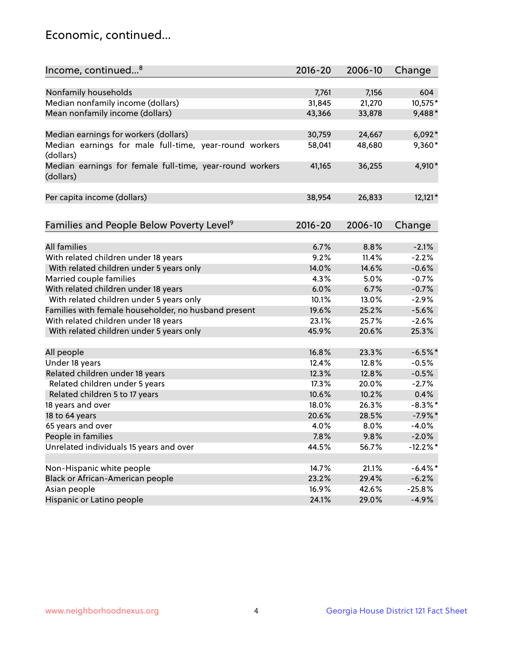## Economic, continued...

| Income, continued <sup>8</sup>                                        | $2016 - 20$ | 2006-10 | Change      |
|-----------------------------------------------------------------------|-------------|---------|-------------|
|                                                                       |             |         |             |
| Nonfamily households                                                  | 7,761       | 7,156   | 604         |
| Median nonfamily income (dollars)                                     | 31,845      | 21,270  | 10,575*     |
| Mean nonfamily income (dollars)                                       | 43,366      | 33,878  | 9,488*      |
| Median earnings for workers (dollars)                                 | 30,759      | 24,667  | $6,092*$    |
| Median earnings for male full-time, year-round workers                | 58,041      | 48,680  | 9,360*      |
| (dollars)                                                             |             |         |             |
| Median earnings for female full-time, year-round workers<br>(dollars) | 41,165      | 36,255  | 4,910*      |
| Per capita income (dollars)                                           | 38,954      | 26,833  | $12,121*$   |
|                                                                       |             |         |             |
| Families and People Below Poverty Level <sup>9</sup>                  | $2016 - 20$ | 2006-10 | Change      |
|                                                                       |             |         |             |
| <b>All families</b>                                                   | 6.7%        | 8.8%    | $-2.1%$     |
| With related children under 18 years                                  | 9.2%        | 11.4%   | $-2.2%$     |
| With related children under 5 years only                              | 14.0%       | 14.6%   | $-0.6%$     |
| Married couple families                                               | 4.3%        | 5.0%    | $-0.7%$     |
| With related children under 18 years                                  | 6.0%        | 6.7%    | $-0.7%$     |
| With related children under 5 years only                              | 10.1%       | 13.0%   | $-2.9%$     |
| Families with female householder, no husband present                  | 19.6%       | 25.2%   | $-5.6%$     |
| With related children under 18 years                                  | 23.1%       | 25.7%   | $-2.6%$     |
| With related children under 5 years only                              | 45.9%       | 20.6%   | 25.3%       |
| All people                                                            | 16.8%       | 23.3%   | $-6.5%$ *   |
| Under 18 years                                                        | 12.4%       | 12.8%   | $-0.5%$     |
| Related children under 18 years                                       | 12.3%       | 12.8%   | $-0.5%$     |
| Related children under 5 years                                        | 17.3%       | 20.0%   | $-2.7%$     |
| Related children 5 to 17 years                                        | 10.6%       | 10.2%   | 0.4%        |
| 18 years and over                                                     | 18.0%       | 26.3%   | $-8.3\%$ *  |
|                                                                       |             |         |             |
| 18 to 64 years                                                        | 20.6%       | 28.5%   | $-7.9%$ *   |
| 65 years and over                                                     | 4.0%        | 8.0%    | $-4.0%$     |
| People in families                                                    | 7.8%        | 9.8%    | $-2.0%$     |
| Unrelated individuals 15 years and over                               | 44.5%       | 56.7%   | $-12.2\%$ * |
|                                                                       |             |         |             |
| Non-Hispanic white people                                             | 14.7%       | 21.1%   | $-6.4\%$ *  |
| Black or African-American people                                      | 23.2%       | 29.4%   | $-6.2%$     |
| Asian people                                                          | 16.9%       | 42.6%   | $-25.8%$    |
| Hispanic or Latino people                                             | 24.1%       | 29.0%   | $-4.9%$     |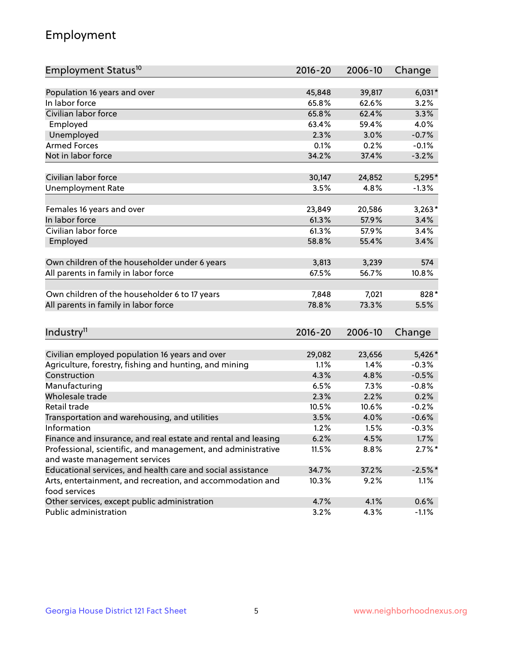# Employment

| Employment Status <sup>10</sup>                                             | $2016 - 20$ | 2006-10 | Change    |
|-----------------------------------------------------------------------------|-------------|---------|-----------|
|                                                                             |             |         |           |
| Population 16 years and over                                                | 45,848      | 39,817  | $6,031*$  |
| In labor force                                                              | 65.8%       | 62.6%   | 3.2%      |
| Civilian labor force                                                        | 65.8%       | 62.4%   | 3.3%      |
| Employed                                                                    | 63.4%       | 59.4%   | 4.0%      |
| Unemployed                                                                  | 2.3%        | 3.0%    | $-0.7%$   |
| <b>Armed Forces</b>                                                         | 0.1%        | 0.2%    | $-0.1%$   |
| Not in labor force                                                          | 34.2%       | 37.4%   | $-3.2%$   |
| Civilian labor force                                                        | 30,147      | 24,852  | $5,295*$  |
|                                                                             |             |         |           |
| <b>Unemployment Rate</b>                                                    | 3.5%        | 4.8%    | $-1.3%$   |
| Females 16 years and over                                                   | 23,849      | 20,586  | $3,263*$  |
| In labor force                                                              | 61.3%       | 57.9%   | 3.4%      |
| Civilian labor force                                                        | 61.3%       | 57.9%   | 3.4%      |
| Employed                                                                    | 58.8%       | 55.4%   | 3.4%      |
|                                                                             |             |         |           |
| Own children of the householder under 6 years                               | 3,813       | 3,239   | 574       |
| All parents in family in labor force                                        | 67.5%       | 56.7%   | 10.8%     |
| Own children of the householder 6 to 17 years                               | 7,848       | 7,021   | 828*      |
| All parents in family in labor force                                        | 78.8%       | 73.3%   | 5.5%      |
|                                                                             |             |         |           |
| Industry <sup>11</sup>                                                      | $2016 - 20$ | 2006-10 | Change    |
|                                                                             |             |         |           |
| Civilian employed population 16 years and over                              | 29,082      | 23,656  | 5,426*    |
| Agriculture, forestry, fishing and hunting, and mining                      | 1.1%        | 1.4%    | $-0.3%$   |
| Construction                                                                | 4.3%        | 4.8%    | $-0.5%$   |
| Manufacturing                                                               | 6.5%        | 7.3%    | $-0.8%$   |
| Wholesale trade                                                             | 2.3%        | 2.2%    | 0.2%      |
| Retail trade                                                                | 10.5%       | 10.6%   | $-0.2%$   |
| Transportation and warehousing, and utilities                               | 3.5%        | 4.0%    | $-0.6%$   |
| Information                                                                 | 1.2%        | 1.5%    | $-0.3%$   |
| Finance and insurance, and real estate and rental and leasing               | 6.2%        | 4.5%    | 1.7%      |
| Professional, scientific, and management, and administrative                | 11.5%       | 8.8%    | $2.7\%$ * |
| and waste management services                                               |             |         |           |
| Educational services, and health care and social assistance                 | 34.7%       | 37.2%   | $-2.5%$ * |
| Arts, entertainment, and recreation, and accommodation and<br>food services | 10.3%       | 9.2%    | 1.1%      |
| Other services, except public administration                                | 4.7%        | 4.1%    | 0.6%      |
| Public administration                                                       | 3.2%        | 4.3%    | $-1.1%$   |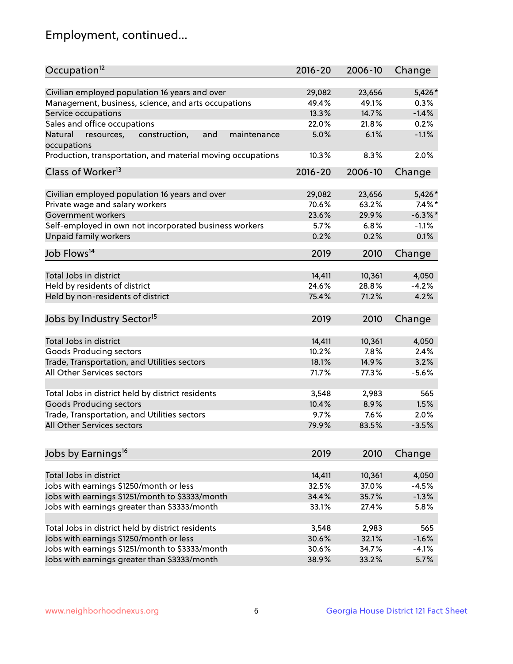# Employment, continued...

| Occupation <sup>12</sup>                                     | $2016 - 20$ | 2006-10 | Change     |
|--------------------------------------------------------------|-------------|---------|------------|
| Civilian employed population 16 years and over               | 29,082      | 23,656  | 5,426*     |
| Management, business, science, and arts occupations          | 49.4%       | 49.1%   | 0.3%       |
| Service occupations                                          | 13.3%       | 14.7%   | $-1.4%$    |
| Sales and office occupations                                 | 22.0%       | 21.8%   | 0.2%       |
| Natural<br>and<br>resources,<br>construction,<br>maintenance | 5.0%        | 6.1%    | $-1.1%$    |
| occupations                                                  |             |         |            |
| Production, transportation, and material moving occupations  | 10.3%       | 8.3%    | 2.0%       |
| Class of Worker <sup>13</sup>                                | $2016 - 20$ | 2006-10 | Change     |
|                                                              |             |         |            |
| Civilian employed population 16 years and over               | 29,082      | 23,656  | 5,426*     |
| Private wage and salary workers                              | 70.6%       | 63.2%   | $7.4\%$ *  |
| Government workers                                           | 23.6%       | 29.9%   | $-6.3\%$ * |
| Self-employed in own not incorporated business workers       | 5.7%        | 6.8%    | $-1.1%$    |
| Unpaid family workers                                        | 0.2%        | 0.2%    | 0.1%       |
| Job Flows <sup>14</sup>                                      | 2019        | 2010    | Change     |
|                                                              |             |         |            |
| Total Jobs in district                                       | 14,411      | 10,361  | 4,050      |
| Held by residents of district                                | 24.6%       | 28.8%   | $-4.2%$    |
| Held by non-residents of district                            | 75.4%       | 71.2%   | 4.2%       |
| Jobs by Industry Sector <sup>15</sup>                        | 2019        | 2010    | Change     |
|                                                              |             |         |            |
| Total Jobs in district                                       | 14,411      | 10,361  | 4,050      |
| Goods Producing sectors                                      | 10.2%       | 7.8%    | 2.4%       |
| Trade, Transportation, and Utilities sectors                 | 18.1%       | 14.9%   | 3.2%       |
| All Other Services sectors                                   | 71.7%       | 77.3%   | $-5.6%$    |
| Total Jobs in district held by district residents            | 3,548       | 2,983   | 565        |
| <b>Goods Producing sectors</b>                               | 10.4%       | 8.9%    | 1.5%       |
| Trade, Transportation, and Utilities sectors                 | 9.7%        | 7.6%    | 2.0%       |
| All Other Services sectors                                   | 79.9%       | 83.5%   | $-3.5%$    |
|                                                              |             |         |            |
| Jobs by Earnings <sup>16</sup>                               | 2019        | 2010    | Change     |
|                                                              |             |         |            |
| Total Jobs in district                                       | 14,411      | 10,361  | 4,050      |
| Jobs with earnings \$1250/month or less                      | 32.5%       | 37.0%   | $-4.5%$    |
| Jobs with earnings \$1251/month to \$3333/month              | 34.4%       | 35.7%   | $-1.3%$    |
| Jobs with earnings greater than \$3333/month                 | 33.1%       | 27.4%   | 5.8%       |
| Total Jobs in district held by district residents            | 3,548       | 2,983   | 565        |
| Jobs with earnings \$1250/month or less                      | 30.6%       | 32.1%   | $-1.6%$    |
| Jobs with earnings \$1251/month to \$3333/month              | 30.6%       | 34.7%   | $-4.1%$    |
| Jobs with earnings greater than \$3333/month                 | 38.9%       | 33.2%   | 5.7%       |
|                                                              |             |         |            |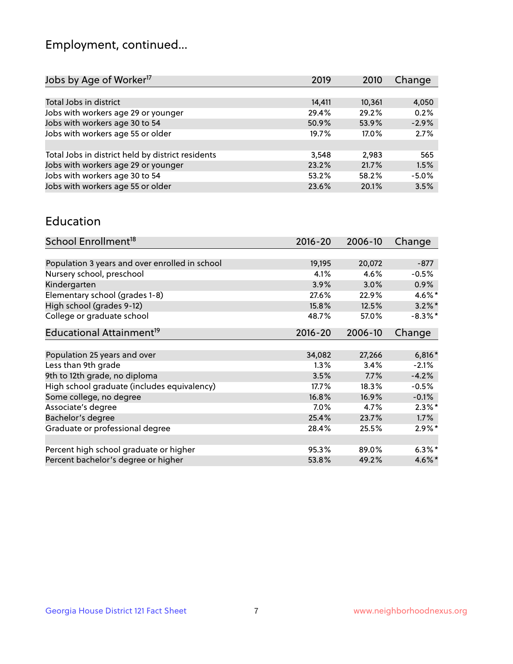# Employment, continued...

| Change<br>2019<br>2010    |
|---------------------------|
|                           |
| 14,411<br>10,361<br>4,050 |
| 0.2%<br>29.4%<br>29.2%    |
| $-2.9%$<br>53.9%<br>50.9% |
| 2.7%<br>19.7%<br>17.0%    |
|                           |
| 3,548<br>2.983<br>565     |
| 23.2%<br>21.7%<br>1.5%    |
| $-5.0%$<br>53.2%<br>58.2% |
| 3.5%<br>23.6%<br>20.1%    |
|                           |

#### Education

| School Enrollment <sup>18</sup>                | $2016 - 20$ | 2006-10 | Change     |
|------------------------------------------------|-------------|---------|------------|
|                                                |             |         |            |
| Population 3 years and over enrolled in school | 19,195      | 20,072  | $-877$     |
| Nursery school, preschool                      | 4.1%        | 4.6%    | $-0.5%$    |
| Kindergarten                                   | 3.9%        | 3.0%    | 0.9%       |
| Elementary school (grades 1-8)                 | 27.6%       | 22.9%   | $4.6\%$ *  |
| High school (grades 9-12)                      | 15.8%       | 12.5%   | $3.2\%$ *  |
| College or graduate school                     | 48.7%       | 57.0%   | $-8.3\%$ * |
| Educational Attainment <sup>19</sup>           | $2016 - 20$ | 2006-10 | Change     |
|                                                |             |         |            |
| Population 25 years and over                   | 34,082      | 27,266  | $6,816*$   |
| Less than 9th grade                            | 1.3%        | 3.4%    | $-2.1%$    |
| 9th to 12th grade, no diploma                  | 3.5%        | 7.7%    | $-4.2%$    |
| High school graduate (includes equivalency)    | $17.7\%$    | 18.3%   | $-0.5%$    |
| Some college, no degree                        | 16.8%       | 16.9%   | $-0.1%$    |
| Associate's degree                             | 7.0%        | 4.7%    | $2.3\%$ *  |
| Bachelor's degree                              | 25.4%       | 23.7%   | 1.7%       |
| Graduate or professional degree                | 28.4%       | 25.5%   | $2.9\%$ *  |
|                                                |             |         |            |
| Percent high school graduate or higher         | 95.3%       | 89.0%   | $6.3\%$ *  |
| Percent bachelor's degree or higher            | 53.8%       | 49.2%   | $4.6\%$ *  |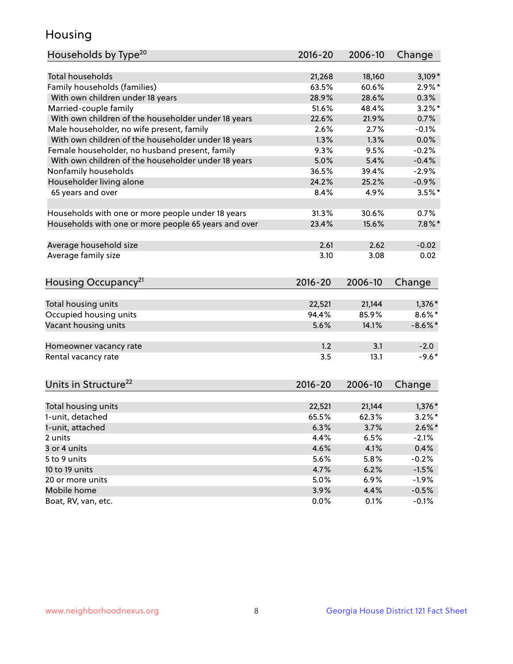## Housing

| Households by Type <sup>20</sup>                     | 2016-20 | 2006-10 | Change     |
|------------------------------------------------------|---------|---------|------------|
|                                                      |         |         |            |
| <b>Total households</b>                              | 21,268  | 18,160  | $3,109*$   |
| Family households (families)                         | 63.5%   | 60.6%   | $2.9\%$ *  |
| With own children under 18 years                     | 28.9%   | 28.6%   | 0.3%       |
| Married-couple family                                | 51.6%   | 48.4%   | $3.2\%$ *  |
| With own children of the householder under 18 years  | 22.6%   | 21.9%   | 0.7%       |
| Male householder, no wife present, family            | 2.6%    | 2.7%    | $-0.1%$    |
| With own children of the householder under 18 years  | 1.3%    | 1.3%    | 0.0%       |
| Female householder, no husband present, family       | 9.3%    | 9.5%    | $-0.2%$    |
| With own children of the householder under 18 years  | 5.0%    | 5.4%    | $-0.4%$    |
| Nonfamily households                                 | 36.5%   | 39.4%   | $-2.9%$    |
| Householder living alone                             | 24.2%   | 25.2%   | $-0.9%$    |
| 65 years and over                                    | 8.4%    | 4.9%    | $3.5%$ *   |
|                                                      |         |         |            |
| Households with one or more people under 18 years    | 31.3%   | 30.6%   | 0.7%       |
| Households with one or more people 65 years and over | 23.4%   | 15.6%   | $7.8\%$ *  |
|                                                      |         |         |            |
| Average household size                               | 2.61    | 2.62    | $-0.02$    |
| Average family size                                  | 3.10    | 3.08    | 0.02       |
|                                                      |         |         |            |
| Housing Occupancy <sup>21</sup>                      | 2016-20 | 2006-10 | Change     |
|                                                      |         |         |            |
| Total housing units                                  | 22,521  | 21,144  | $1,376*$   |
| Occupied housing units                               | 94.4%   | 85.9%   | $8.6\%$ *  |
| Vacant housing units                                 | 5.6%    | 14.1%   | $-8.6\%$ * |
|                                                      |         |         |            |
| Homeowner vacancy rate                               | 1.2     | 3.1     | $-2.0$     |
| Rental vacancy rate                                  | 3.5     | 13.1    | $-9.6*$    |
|                                                      |         |         |            |
| Units in Structure <sup>22</sup>                     | 2016-20 | 2006-10 | Change     |
|                                                      |         |         |            |
| Total housing units                                  | 22,521  | 21,144  | $1,376*$   |
| 1-unit, detached                                     | 65.5%   | 62.3%   | $3.2\%$ *  |
| 1-unit, attached                                     | 6.3%    | 3.7%    | $2.6\%$ *  |
| 2 units                                              | 4.4%    | 6.5%    | $-2.1%$    |
| 3 or 4 units                                         | 4.6%    | 4.1%    | 0.4%       |
| 5 to 9 units                                         | 5.6%    | 5.8%    | $-0.2%$    |
| 10 to 19 units                                       | 4.7%    | 6.2%    | $-1.5%$    |
| 20 or more units                                     | 5.0%    | 6.9%    | $-1.9%$    |
| Mobile home                                          | 3.9%    | 4.4%    | $-0.5%$    |
| Boat, RV, van, etc.                                  | 0.0%    | 0.1%    | $-0.1%$    |
|                                                      |         |         |            |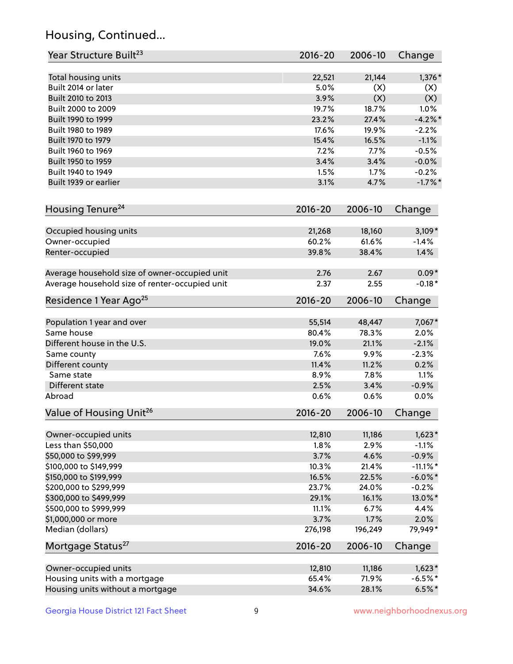# Housing, Continued...

| Year Structure Built <sup>23</sup>               | 2016-20        | 2006-10        | Change                |
|--------------------------------------------------|----------------|----------------|-----------------------|
| Total housing units                              | 22,521         | 21,144         | 1,376*                |
| Built 2014 or later                              | 5.0%           | (X)            | (X)                   |
| Built 2010 to 2013                               | 3.9%           | (X)            | (X)                   |
| Built 2000 to 2009                               | 19.7%          | 18.7%          | 1.0%                  |
| Built 1990 to 1999                               | 23.2%          | 27.4%          | $-4.2\%$ *            |
| Built 1980 to 1989                               | 17.6%          | 19.9%          | $-2.2%$               |
| Built 1970 to 1979                               | 15.4%          | 16.5%          | $-1.1%$               |
| Built 1960 to 1969                               | 7.2%           | 7.7%           | $-0.5%$               |
| Built 1950 to 1959                               | 3.4%           | 3.4%           | $-0.0%$               |
| Built 1940 to 1949                               | 1.5%           | 1.7%           | $-0.2%$               |
| Built 1939 or earlier                            | 3.1%           | 4.7%           | $-1.7%$ *             |
| Housing Tenure <sup>24</sup>                     | $2016 - 20$    | 2006-10        | Change                |
|                                                  |                |                |                       |
| Occupied housing units                           | 21,268         | 18,160         | $3,109*$              |
| Owner-occupied                                   | 60.2%          | 61.6%          | $-1.4%$               |
| Renter-occupied                                  | 39.8%          | 38.4%          | 1.4%                  |
| Average household size of owner-occupied unit    | 2.76           | 2.67           | $0.09*$               |
| Average household size of renter-occupied unit   | 2.37           | 2.55           | $-0.18*$              |
| Residence 1 Year Ago <sup>25</sup>               | $2016 - 20$    | 2006-10        | Change                |
| Population 1 year and over                       | 55,514         | 48,447         | 7,067*                |
| Same house                                       | 80.4%          | 78.3%          | 2.0%                  |
| Different house in the U.S.                      | 19.0%          | 21.1%          | $-2.1%$               |
| Same county                                      | 7.6%           | 9.9%           | $-2.3%$               |
| Different county                                 | 11.4%          | 11.2%          | 0.2%                  |
| Same state                                       | 8.9%           | 7.8%           | 1.1%                  |
| Different state                                  | 2.5%           | 3.4%           | $-0.9%$               |
| Abroad                                           | 0.6%           | 0.6%           | 0.0%                  |
| Value of Housing Unit <sup>26</sup>              | 2016-20        | 2006-10        | Change                |
|                                                  |                | 11,186         | $1,623*$              |
| Owner-occupied units<br>Less than \$50,000       | 12,810<br>1.8% | 2.9%           | $-1.1%$               |
| \$50,000 to \$99,999                             |                | 4.6%           |                       |
|                                                  | 3.7%           |                | $-0.9%$               |
| \$100,000 to \$149,999<br>\$150,000 to \$199,999 | 10.3%<br>16.5% | 21.4%<br>22.5% | $-11.1\%$ *           |
| \$200,000 to \$299,999                           | 23.7%          | 24.0%          | $-6.0\%$ *<br>$-0.2%$ |
| \$300,000 to \$499,999                           | 29.1%          | 16.1%          | 13.0%*                |
| \$500,000 to \$999,999                           | 11.1%          | 6.7%           | 4.4%                  |
| \$1,000,000 or more                              | 3.7%           | 1.7%           | 2.0%                  |
| Median (dollars)                                 | 276,198        | 196,249        | 79,949*               |
| Mortgage Status <sup>27</sup>                    | $2016 - 20$    | 2006-10        | Change                |
|                                                  |                |                |                       |
| Owner-occupied units                             | 12,810         | 11,186         | $1,623*$              |
| Housing units with a mortgage                    | 65.4%          | 71.9%          | $-6.5%$ *             |
| Housing units without a mortgage                 | 34.6%          | 28.1%          | $6.5%$ *              |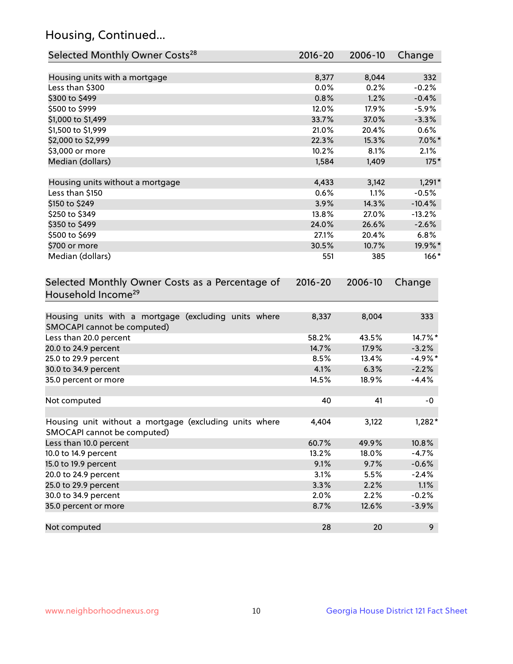# Housing, Continued...

| Selected Monthly Owner Costs <sup>28</sup>                                            | $2016 - 20$ | 2006-10 | Change     |
|---------------------------------------------------------------------------------------|-------------|---------|------------|
| Housing units with a mortgage                                                         | 8,377       | 8,044   | 332        |
| Less than \$300                                                                       | 0.0%        | 0.2%    | $-0.2%$    |
| \$300 to \$499                                                                        | 0.8%        | 1.2%    | $-0.4%$    |
| \$500 to \$999                                                                        | 12.0%       | 17.9%   | $-5.9%$    |
| \$1,000 to \$1,499                                                                    | 33.7%       | 37.0%   | $-3.3%$    |
| \$1,500 to \$1,999                                                                    | 21.0%       | 20.4%   | 0.6%       |
| \$2,000 to \$2,999                                                                    | 22.3%       | 15.3%   | $7.0\%$ *  |
| \$3,000 or more                                                                       | 10.2%       | 8.1%    | 2.1%       |
| Median (dollars)                                                                      | 1,584       | 1,409   | 175*       |
| Housing units without a mortgage                                                      | 4,433       | 3,142   | $1,291*$   |
| Less than \$150                                                                       | 0.6%        | 1.1%    | $-0.5%$    |
| \$150 to \$249                                                                        | 3.9%        | 14.3%   | $-10.4%$   |
| \$250 to \$349                                                                        | 13.8%       | 27.0%   | $-13.2%$   |
| \$350 to \$499                                                                        | 24.0%       | 26.6%   | $-2.6%$    |
| \$500 to \$699                                                                        | 27.1%       | 20.4%   | 6.8%       |
| \$700 or more                                                                         | 30.5%       | 10.7%   | 19.9%*     |
| Median (dollars)                                                                      | 551         | 385     | $166*$     |
| Selected Monthly Owner Costs as a Percentage of<br>Household Income <sup>29</sup>     | $2016 - 20$ | 2006-10 | Change     |
| Housing units with a mortgage (excluding units where<br>SMOCAPI cannot be computed)   | 8,337       | 8,004   | 333        |
| Less than 20.0 percent                                                                | 58.2%       | 43.5%   | 14.7%*     |
| 20.0 to 24.9 percent                                                                  | 14.7%       | 17.9%   | $-3.2%$    |
| 25.0 to 29.9 percent                                                                  | 8.5%        | 13.4%   | $-4.9\%$ * |
| 30.0 to 34.9 percent                                                                  | 4.1%        | 6.3%    | $-2.2%$    |
| 35.0 percent or more                                                                  | 14.5%       | 18.9%   | $-4.4%$    |
| Not computed                                                                          | 40          | 41      | -0         |
| Housing unit without a mortgage (excluding units where<br>SMOCAPI cannot be computed) | 4,404       | 3,122   | $1,282*$   |
| Less than 10.0 percent                                                                | 60.7%       | 49.9%   | 10.8%      |
| 10.0 to 14.9 percent                                                                  | 13.2%       | 18.0%   | $-4.7%$    |
| 15.0 to 19.9 percent                                                                  | 9.1%        | 9.7%    | $-0.6%$    |
| 20.0 to 24.9 percent                                                                  | 3.1%        | 5.5%    | $-2.4%$    |
| 25.0 to 29.9 percent                                                                  | 3.3%        | 2.2%    | 1.1%       |
| 30.0 to 34.9 percent                                                                  | 2.0%        | 2.2%    | $-0.2%$    |
| 35.0 percent or more                                                                  | 8.7%        | 12.6%   | $-3.9%$    |
| Not computed                                                                          | 28          | 20      | 9          |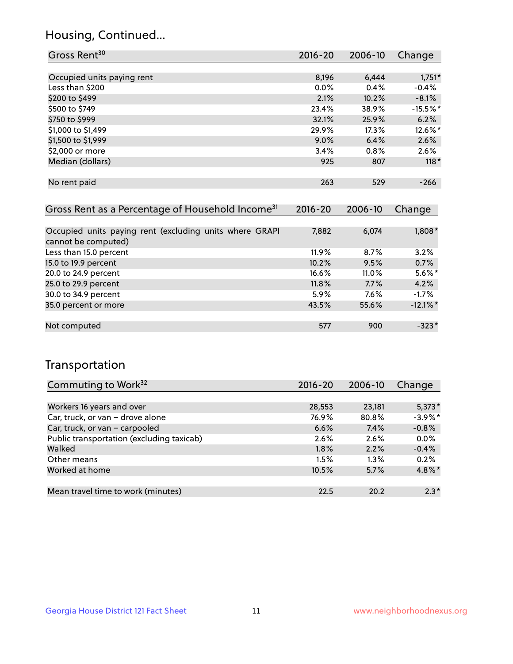## Housing, Continued...

| Gross Rent <sup>30</sup>   | 2016-20 | 2006-10 | Change     |
|----------------------------|---------|---------|------------|
|                            |         |         |            |
| Occupied units paying rent | 8,196   | 6,444   | $1,751*$   |
| Less than \$200            | $0.0\%$ | 0.4%    | $-0.4%$    |
| \$200 to \$499             | 2.1%    | 10.2%   | $-8.1%$    |
| \$500 to \$749             | 23.4%   | 38.9%   | $-15.5%$ * |
| \$750 to \$999             | 32.1%   | 25.9%   | 6.2%       |
| \$1,000 to \$1,499         | 29.9%   | 17.3%   | 12.6%*     |
| \$1,500 to \$1,999         | 9.0%    | 6.4%    | 2.6%       |
| \$2,000 or more            | 3.4%    | 0.8%    | 2.6%       |
| Median (dollars)           | 925     | 807     | $118*$     |
|                            |         |         |            |
| No rent paid               | 263     | 529     | $-266$     |
|                            |         |         |            |

| Gross Rent as a Percentage of Household Income <sup>31</sup>                   | $2016 - 20$ | 2006-10 | Change      |
|--------------------------------------------------------------------------------|-------------|---------|-------------|
|                                                                                |             |         |             |
| Occupied units paying rent (excluding units where GRAPI<br>cannot be computed) | 7,882       | 6,074   | 1,808*      |
| Less than 15.0 percent                                                         | $11.9\%$    | 8.7%    | 3.2%        |
| 15.0 to 19.9 percent                                                           | 10.2%       | 9.5%    | 0.7%        |
| 20.0 to 24.9 percent                                                           | 16.6%       | 11.0%   | $5.6\%$ *   |
| 25.0 to 29.9 percent                                                           | 11.8%       | 7.7%    | 4.2%        |
| 30.0 to 34.9 percent                                                           | 5.9%        | 7.6%    | $-1.7\%$    |
| 35.0 percent or more                                                           | 43.5%       | 55.6%   | $-12.1\%$ * |
|                                                                                |             |         |             |
| Not computed                                                                   | 577         | 900     | $-323*$     |

## Transportation

| Commuting to Work <sup>32</sup>           | 2016-20 | 2006-10 | Change     |
|-------------------------------------------|---------|---------|------------|
|                                           |         |         |            |
| Workers 16 years and over                 | 28,553  | 23,181  | $5,373*$   |
| Car, truck, or van - drove alone          | 76.9%   | 80.8%   | $-3.9\%$ * |
| Car, truck, or van - carpooled            | 6.6%    | 7.4%    | $-0.8%$    |
| Public transportation (excluding taxicab) | 2.6%    | 2.6%    | 0.0%       |
| Walked                                    | 1.8%    | 2.2%    | $-0.4%$    |
| Other means                               | 1.5%    | $1.3\%$ | 0.2%       |
| Worked at home                            | 10.5%   | 5.7%    | 4.8%*      |
|                                           |         |         |            |
| Mean travel time to work (minutes)        | 22.5    | 20.2    | $2.3*$     |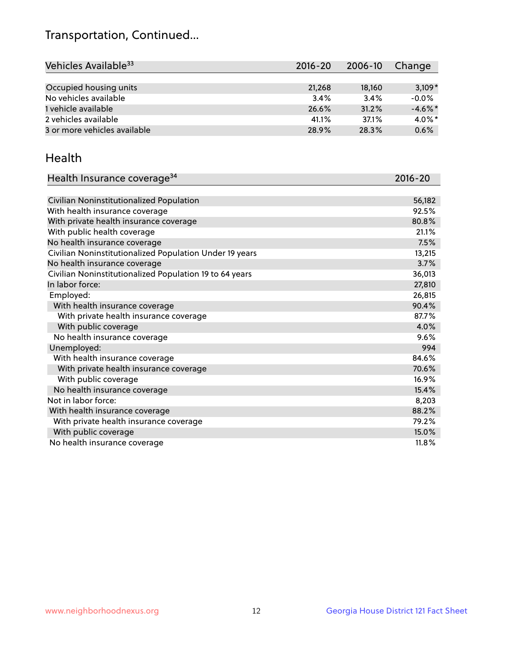# Transportation, Continued...

| Vehicles Available <sup>33</sup> | $2016 - 20$ | 2006-10 | Change     |
|----------------------------------|-------------|---------|------------|
|                                  |             |         |            |
| Occupied housing units           | 21,268      | 18,160  | $3,109*$   |
| No vehicles available            | 3.4%        | 3.4%    | $-0.0%$    |
| 1 vehicle available              | 26.6%       | 31.2%   | $-4.6\%$ * |
| 2 vehicles available             | 41.1%       | 37.1%   | $4.0\%$ *  |
| 3 or more vehicles available     | 28.9%       | 28.3%   | 0.6%       |

#### Health

| Health Insurance coverage <sup>34</sup>                 | 2016-20 |
|---------------------------------------------------------|---------|
|                                                         |         |
| Civilian Noninstitutionalized Population                | 56,182  |
| With health insurance coverage                          | 92.5%   |
| With private health insurance coverage                  | 80.8%   |
| With public health coverage                             | 21.1%   |
| No health insurance coverage                            | 7.5%    |
| Civilian Noninstitutionalized Population Under 19 years | 13,215  |
| No health insurance coverage                            | 3.7%    |
| Civilian Noninstitutionalized Population 19 to 64 years | 36,013  |
| In labor force:                                         | 27,810  |
| Employed:                                               | 26,815  |
| With health insurance coverage                          | 90.4%   |
| With private health insurance coverage                  | 87.7%   |
| With public coverage                                    | 4.0%    |
| No health insurance coverage                            | 9.6%    |
| Unemployed:                                             | 994     |
| With health insurance coverage                          | 84.6%   |
| With private health insurance coverage                  | 70.6%   |
| With public coverage                                    | 16.9%   |
| No health insurance coverage                            | 15.4%   |
| Not in labor force:                                     | 8,203   |
| With health insurance coverage                          | 88.2%   |
| With private health insurance coverage                  | 79.2%   |
| With public coverage                                    | 15.0%   |
| No health insurance coverage                            | 11.8%   |